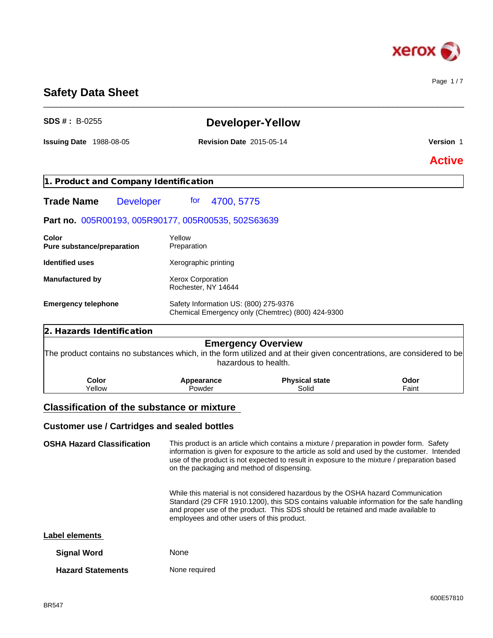

Page 1 / 7

# **Safety Data Sheet**

| <b>SDS #: B-0255</b>                                                                                                   |                                                 | <b>Developer-Yellow</b>                           |               |
|------------------------------------------------------------------------------------------------------------------------|-------------------------------------------------|---------------------------------------------------|---------------|
| <b>Issuing Date 1988-08-05</b>                                                                                         | <b>Revision Date 2015-05-14</b>                 |                                                   | Version 1     |
|                                                                                                                        |                                                 |                                                   | <b>Active</b> |
| 1. Product and Company Identification                                                                                  |                                                 |                                                   |               |
| <b>Developer</b><br><b>Trade Name</b>                                                                                  | 4700, 5775<br>for                               |                                                   |               |
| Part no. 005R00193, 005R90177, 005R00535, 502S63639                                                                    |                                                 |                                                   |               |
| Color<br>Pure substance/preparation                                                                                    | Yellow<br>Preparation                           |                                                   |               |
| <b>Identified uses</b>                                                                                                 | Xerographic printing                            |                                                   |               |
| <b>Manufactured by</b>                                                                                                 | <b>Xerox Corporation</b><br>Rochester, NY 14644 |                                                   |               |
| <b>Emergency telephone</b>                                                                                             | Safety Information US: (800) 275-9376           | Chemical Emergency only (Chemtrec) (800) 424-9300 |               |
| 2. Hazards Identification                                                                                              |                                                 |                                                   |               |
| The product contains no substances which, in the form utilized and at their given concentrations, are considered to be |                                                 | <b>Emergency Overview</b><br>hazardous to health. |               |
| <b>Color</b>                                                                                                           | Appearance<br>Powder                            | <b>Physical state</b><br>Solid                    | Odor<br>Faint |

\_\_\_\_\_\_\_\_\_\_\_\_\_\_\_\_\_\_\_\_\_\_\_\_\_\_\_\_\_\_\_\_\_\_\_\_\_\_\_\_\_\_\_\_\_\_\_\_\_\_\_\_\_\_\_\_\_\_\_\_\_\_\_\_\_\_\_\_\_\_\_\_\_\_\_\_\_\_\_\_\_\_\_\_\_\_\_\_\_\_\_\_\_\_

**OSHA Hazard Classification** This product is an article which contains a mixture / preparation in powder form. Safety information is given for exposure to the article as sold and used by the customer. Intended use of the product is not expected to result in exposure to the mixture / preparation based on the packaging and method of dispensing.

> While this material is not considered hazardous by the OSHA hazard Communication Standard (29 CFR 1910.1200), this SDS contains valuable information for the safe handling and proper use of the product. This SDS should be retained and made available to employees and other users of this product.

## **Label elements**

| <b>Signal Word</b>       | <b>None</b>   |
|--------------------------|---------------|
| <b>Hazard Statements</b> | None required |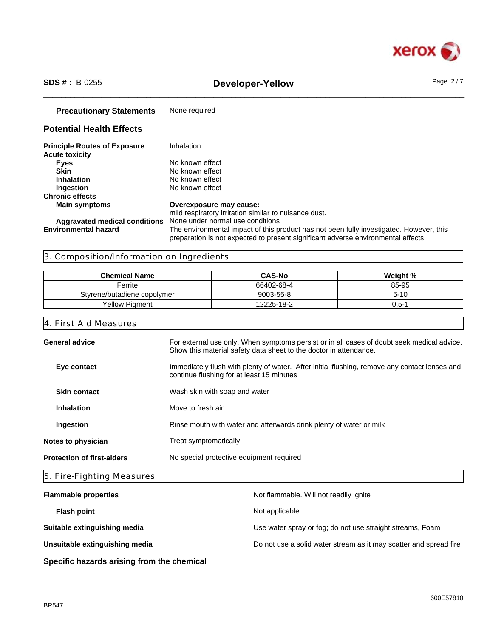

# \_\_\_\_\_\_\_\_\_\_\_\_\_\_\_\_\_\_\_\_\_\_\_\_\_\_\_\_\_\_\_\_\_\_\_\_\_\_\_\_\_\_\_\_\_\_\_\_\_\_\_\_\_\_\_\_\_\_\_\_\_\_\_\_\_\_\_\_\_\_\_\_\_\_\_\_\_\_\_\_\_\_\_\_\_\_\_\_\_\_\_\_\_\_ **SDS # :** B-0255 **Developer-Yellow** Page 2 / 7

**Precautionary Statements** None required **Potential Health Effects Principle Routes of Exposure** Inhalation **Acute toxicity Eyes** No known effect **Skin**<br> **Inhalation**<br>
No known effect<br>
No known effect **Inhalation** No known effect<br> **Ingestion** No known effect **No known effect Chronic effects Overexposure may cause:** mild respiratory irritation similar to nuisance dust. **Aggravated medical conditions** None under normal use conditions **Environmental hazard** The environmental impact of this product has not been fully investigated. However, this preparation is not expected to present significant adverse environmental effects.

## 3. Composition/Information on Ingredients

| <b>Chemical Name</b>        | <b>CAS-No</b> | Weight % |
|-----------------------------|---------------|----------|
| Ferrite                     | 66402-68-4    | 85-95    |
| Styrene/butadiene copolymer | 9003-55-8     | 5-10     |
| <b>Yellow Pigment</b>       | 12225-18-2    | 0.5-1    |

### 4. First Aid Measures

| <b>General advice</b>             |                                                                                                                                                                 |
|-----------------------------------|-----------------------------------------------------------------------------------------------------------------------------------------------------------------|
|                                   | For external use only. When symptoms persist or in all cases of doubt seek medical advice.<br>Show this material safety data sheet to the doctor in attendance. |
| Eye contact                       | Immediately flush with plenty of water. After initial flushing, remove any contact lenses and<br>continue flushing for at least 15 minutes                      |
| <b>Skin contact</b>               | Wash skin with soap and water                                                                                                                                   |
| <b>Inhalation</b>                 | Move to fresh air                                                                                                                                               |
| Ingestion                         | Rinse mouth with water and afterwards drink plenty of water or milk                                                                                             |
| Notes to physician                | Treat symptomatically                                                                                                                                           |
| <b>Protection of first-aiders</b> | No special protective equipment required                                                                                                                        |
| 5. Fire-Fighting Measures         |                                                                                                                                                                 |

| <b>Flammable properties</b>    | Not flammable. Will not readily ignite                            |
|--------------------------------|-------------------------------------------------------------------|
| <b>Flash point</b>             | Not applicable                                                    |
| Suitable extinguishing media   | Use water spray or fog; do not use straight streams, Foam         |
| Unsuitable extinguishing media | Do not use a solid water stream as it may scatter and spread fire |
|                                |                                                                   |

## **Specific hazards arising from the chemical**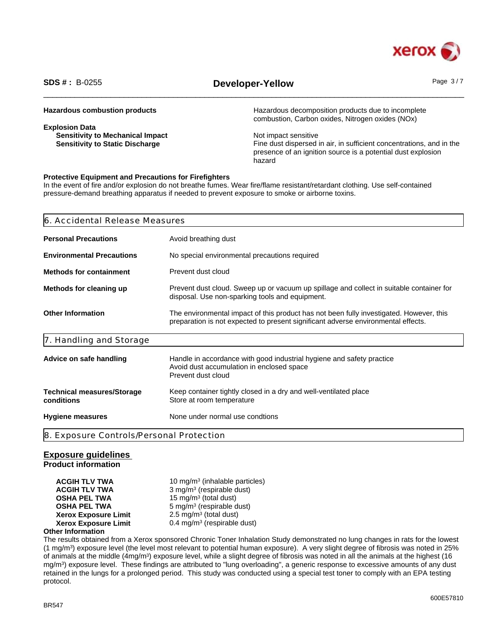

# \_\_\_\_\_\_\_\_\_\_\_\_\_\_\_\_\_\_\_\_\_\_\_\_\_\_\_\_\_\_\_\_\_\_\_\_\_\_\_\_\_\_\_\_\_\_\_\_\_\_\_\_\_\_\_\_\_\_\_\_\_\_\_\_\_\_\_\_\_\_\_\_\_\_\_\_\_\_\_\_\_\_\_\_\_\_\_\_\_\_\_\_\_\_ **SDS # :** B-0255 **Developer-Yellow** Page 3 / 7

| <b>Hazardous combustion products</b>    | Hazardous decomposition products due to incomplete<br>combustion, Carbon oxides, Nitrogen oxides (NOx) |
|-----------------------------------------|--------------------------------------------------------------------------------------------------------|
| <b>Explosion Data</b>                   |                                                                                                        |
| <b>Sensitivity to Mechanical Impact</b> | Not impact sensitive                                                                                   |
| <b>Sensitivity to Static Discharge</b>  | Fine dust dispersed in air, in sufficient concentrations, and in the                                   |
|                                         | presence of an ignition source is a potential dust explosion                                           |
|                                         | hazard                                                                                                 |

## **Protective Equipment and Precautions for Firefighters**

In the event of fire and/or explosion do not breathe fumes. Wear fire/flame resistant/retardant clothing. Use self-contained pressure-demand breathing apparatus if needed to prevent exposure to smoke or airborne toxins.

| <b>Personal Precautions</b><br>Avoid breathing dust<br><b>Environmental Precautions</b><br>No special environmental precautions required<br>Prevent dust cloud<br>Prevent dust cloud. Sweep up or vacuum up spillage and collect in suitable container for |
|------------------------------------------------------------------------------------------------------------------------------------------------------------------------------------------------------------------------------------------------------------|
| <b>Methods for containment</b><br>Methods for cleaning up                                                                                                                                                                                                  |
|                                                                                                                                                                                                                                                            |
|                                                                                                                                                                                                                                                            |
| disposal. Use non-sparking tools and equipment.                                                                                                                                                                                                            |
| <b>Other Information</b><br>The environmental impact of this product has not been fully investigated. However, this<br>preparation is not expected to present significant adverse environmental effects.                                                   |
| 7. Handling and Storage                                                                                                                                                                                                                                    |
| Handle in accordance with good industrial hygiene and safety practice<br>Advice on safe handling<br>Avoid dust accumulation in enclosed space<br>Prevent dust cloud                                                                                        |
| Keep container tightly closed in a dry and well-ventilated place<br><b>Technical measures/Storage</b><br>conditions<br>Store at room temperature                                                                                                           |
| None under normal use condtions<br><b>Hygiene measures</b>                                                                                                                                                                                                 |
| 8. Exposure Controls/Personal Protection                                                                                                                                                                                                                   |

## **Exposure guidelines**

**Product information**

**ACGIH TLV TWA** 10 mg/m<sup>3</sup> (inhalable particles) **ACGIH TLV TWA** 3 mg/m<sup>3</sup> (respirable dust) **OSHA PEL TWA** 15 mg/m<sup>3</sup> (total dust) **OSHA PEL TWA** 5 mg/m<sup>3</sup> (respirable dust) **Xerox Exposure Limit**  $2.5 \text{ mg/m}^3$  (total dust) **Xerox Exposure Limit** 0.4 mg/m<sup>3</sup> (respirable dust)

## **Other Information**

The results obtained from a Xerox sponsored Chronic Toner Inhalation Study demonstrated no lung changes in rats for the lowest (1 mg/m<sup>3</sup> ) exposure level (the level most relevant to potential human exposure). A very slight degree of fibrosis was noted in 25% of animals at the middle (4mg/m<sup>3</sup>) exposure level, while a slight degree of fibrosis was noted in all the animals at the highest (16 mg/m<sup>3</sup> ) exposure level. These findings are attributed to "lung overloading", a generic response to excessive amounts of any dust retained in the lungs for a prolonged period. This study was conducted using a special test toner to comply with an EPA testing protocol.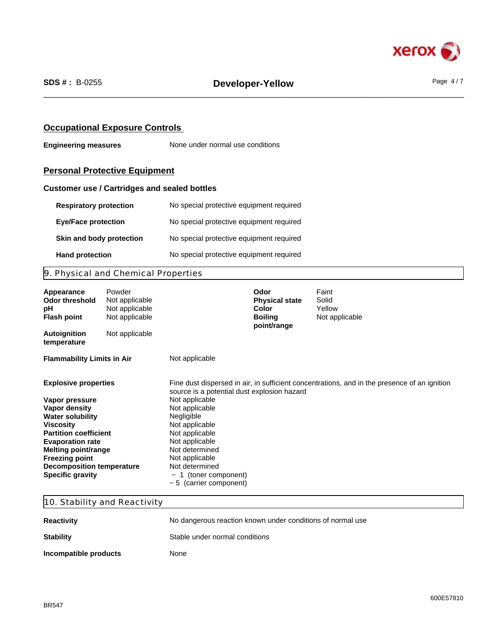

## **Occupational Exposure Controls**

**Engineering measures** None under normal use conditions

# **Personal Protective Equipment**

## **Customer use / Cartridges and sealed bottles**

| <b>Respiratory protection</b> | No special protective equipment required |
|-------------------------------|------------------------------------------|
| <b>Eye/Face protection</b>    | No special protective equipment required |
| Skin and body protection      | No special protective equipment required |
| <b>Hand protection</b>        | No special protective equipment required |

# 9. Physical and Chemical Properties

| Appearance<br><b>Odor threshold</b><br>рH<br><b>Flash point</b>                                                                                                                                                                                                                                | Powder<br>Not applicable<br>Not applicable<br>Not applicable |                                                                                                                                                                                                                                                                                       | Odor<br><b>Physical state</b><br>Color<br><b>Boiling</b><br>point/range | Faint<br>Solid<br>Yellow<br>Not applicable                                                   |
|------------------------------------------------------------------------------------------------------------------------------------------------------------------------------------------------------------------------------------------------------------------------------------------------|--------------------------------------------------------------|---------------------------------------------------------------------------------------------------------------------------------------------------------------------------------------------------------------------------------------------------------------------------------------|-------------------------------------------------------------------------|----------------------------------------------------------------------------------------------|
| <b>Autoignition</b><br>temperature                                                                                                                                                                                                                                                             | Not applicable                                               |                                                                                                                                                                                                                                                                                       |                                                                         |                                                                                              |
| <b>Flammability Limits in Air</b>                                                                                                                                                                                                                                                              |                                                              | Not applicable                                                                                                                                                                                                                                                                        |                                                                         |                                                                                              |
| <b>Explosive properties</b><br>Vapor pressure<br>Vapor density<br><b>Water solubility</b><br><b>Viscosity</b><br><b>Partition coefficient</b><br><b>Evaporation rate</b><br><b>Melting point/range</b><br><b>Freezing point</b><br><b>Decomposition temperature</b><br><b>Specific gravity</b> |                                                              | source is a potential dust explosion hazard<br>Not applicable<br>Not applicable<br>Negligible<br>Not applicable<br>Not applicable<br>Not applicable<br>Not determined<br>Not applicable<br>Not determined<br>1 (toner component)<br>$\tilde{\phantom{a}}$<br>$~5$ (carrier component) |                                                                         | Fine dust dispersed in air, in sufficient concentrations, and in the presence of an ignition |

## 10. Stability and Reactivity

| <b>Reactivity</b>     | No dangerous reaction known under conditions of normal use |
|-----------------------|------------------------------------------------------------|
| <b>Stability</b>      | Stable under normal conditions                             |
| Incompatible products | None                                                       |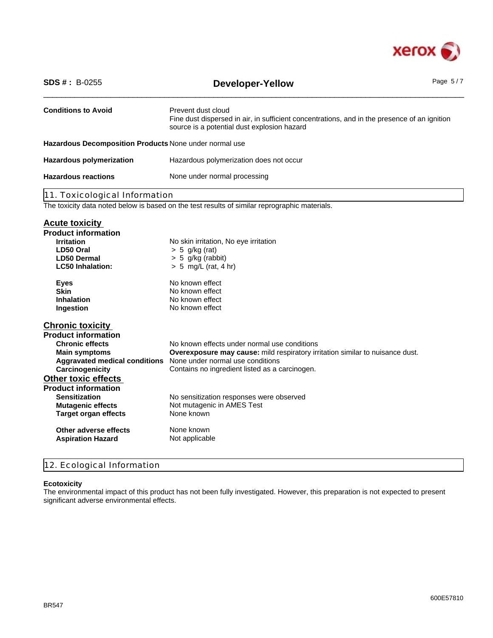

| <b>SDS #: B-0255</b>                                    | <b>Developer-Yellow</b>                                                                                                                                           | Page $5/7$ |
|---------------------------------------------------------|-------------------------------------------------------------------------------------------------------------------------------------------------------------------|------------|
| <b>Conditions to Avoid</b>                              | Prevent dust cloud<br>Fine dust dispersed in air, in sufficient concentrations, and in the presence of an ignition<br>source is a potential dust explosion hazard |            |
| Hazardous Decomposition Products None under normal use  |                                                                                                                                                                   |            |
| <b>Hazardous polymerization</b>                         | Hazardous polymerization does not occur                                                                                                                           |            |
| <b>Hazardous reactions</b>                              | None under normal processing                                                                                                                                      |            |
| 11. Toxicological Information                           |                                                                                                                                                                   |            |
|                                                         | The toxicity data noted below is based on the test results of similar reprographic materials.                                                                     |            |
| <b>Acute toxicity</b><br><b>Product information</b>     |                                                                                                                                                                   |            |
| <b>Irritation</b>                                       | No skin irritation, No eye irritation                                                                                                                             |            |
| LD50 Oral                                               | $> 5$ g/kg (rat)                                                                                                                                                  |            |
| <b>LD50 Dermal</b><br><b>LC50 Inhalation:</b>           | $> 5$ g/kg (rabbit)<br>$> 5$ mg/L (rat, 4 hr)                                                                                                                     |            |
|                                                         |                                                                                                                                                                   |            |
| <b>Eyes</b>                                             | No known effect                                                                                                                                                   |            |
| <b>Skin</b>                                             | No known effect                                                                                                                                                   |            |
| <b>Inhalation</b>                                       | No known effect                                                                                                                                                   |            |
| Ingestion                                               | No known effect                                                                                                                                                   |            |
| <b>Chronic toxicity</b>                                 |                                                                                                                                                                   |            |
| <b>Product information</b>                              |                                                                                                                                                                   |            |
| <b>Chronic effects</b>                                  | No known effects under normal use conditions                                                                                                                      |            |
| <b>Main symptoms</b>                                    | Overexposure may cause: mild respiratory irritation similar to nuisance dust.                                                                                     |            |
| <b>Aggravated medical conditions</b>                    | None under normal use conditions                                                                                                                                  |            |
| Carcinogenicity                                         | Contains no ingredient listed as a carcinogen.                                                                                                                    |            |
| <b>Other toxic effects</b>                              |                                                                                                                                                                   |            |
| <b>Product information</b>                              |                                                                                                                                                                   |            |
| <b>Sensitization</b>                                    | No sensitization responses were observed                                                                                                                          |            |
| <b>Mutagenic effects</b><br><b>Target organ effects</b> | Not mutagenic in AMES Test<br>None known                                                                                                                          |            |
| Other adverse effects                                   | None known                                                                                                                                                        |            |
| <b>Aspiration Hazard</b>                                | Not applicable                                                                                                                                                    |            |
|                                                         |                                                                                                                                                                   |            |

# 12. Ecological Information

## **Ecotoxicity**

The environmental impact of this product has not been fully investigated. However, this preparation is not expected to present significant adverse environmental effects.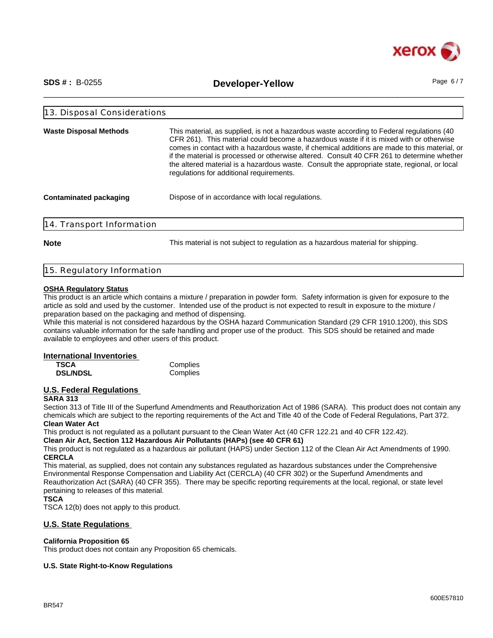

\_\_\_\_\_\_\_\_\_\_\_\_\_\_\_\_\_\_\_\_\_\_\_\_\_\_\_\_\_\_\_\_\_\_\_\_\_\_\_\_\_\_\_\_\_\_\_\_\_\_\_\_\_\_\_\_\_\_\_\_\_\_\_\_\_\_\_\_\_\_\_\_\_\_\_\_\_\_\_\_\_\_\_\_\_\_\_\_\_\_\_\_\_\_ **SDS # :** B-0255 **Developer-Yellow** Page 6 / 7

| <b>Waste Disposal Methods</b> | This material, as supplied, is not a hazardous waste according to Federal regulations (40)<br>CFR 261). This material could become a hazardous waste if it is mixed with or otherwise<br>comes in contact with a hazardous waste, if chemical additions are made to this material, or<br>if the material is processed or otherwise altered. Consult 40 CFR 261 to determine whether<br>the altered material is a hazardous waste. Consult the appropriate state, regional, or local<br>regulations for additional requirements. |  |
|-------------------------------|---------------------------------------------------------------------------------------------------------------------------------------------------------------------------------------------------------------------------------------------------------------------------------------------------------------------------------------------------------------------------------------------------------------------------------------------------------------------------------------------------------------------------------|--|
| <b>Contaminated packaging</b> | Dispose of in accordance with local regulations.                                                                                                                                                                                                                                                                                                                                                                                                                                                                                |  |

**Note** This material is not subject to regulation as a hazardous material for shipping.

|  | 15. Regulatory Information |  |
|--|----------------------------|--|
|  |                            |  |

### **OSHA Regulatory Status**

This product is an article which contains a mixture / preparation in powder form. Safety information is given for exposure to the article as sold and used by the customer. Intended use of the product is not expected to result in exposure to the mixture / preparation based on the packaging and method of dispensing.

While this material is not considered hazardous by the OSHA hazard Communication Standard (29 CFR 1910.1200), this SDS contains valuable information for the safe handling and proper use of the product. This SDS should be retained and made available to employees and other users of this product.

#### **International Inventories**

| <b>TSCA</b>     | Complies |
|-----------------|----------|
| <b>DSL/NDSL</b> | Complies |

## **U.S. Federal Regulations**

## **SARA 313**

Section 313 of Title III of the Superfund Amendments and Reauthorization Act of 1986 (SARA). This product does not contain any chemicals which are subject to the reporting requirements of the Act and Title 40 of the Code of Federal Regulations, Part 372. **Clean Water Act**

This product is not regulated as a pollutant pursuant to the Clean Water Act (40 CFR 122.21 and 40 CFR 122.42).

**Clean Air Act, Section 112 Hazardous Air Pollutants (HAPs) (see 40 CFR 61)**

This product is not regulated as a hazardous air pollutant (HAPS) under Section 112 of the Clean Air Act Amendments of 1990. **CERCLA**

This material, as supplied, does not contain any substances regulated as hazardous substances under the Comprehensive Environmental Response Compensation and Liability Act (CERCLA) (40 CFR 302) or the Superfund Amendments and Reauthorization Act (SARA) (40 CFR 355). There may be specific reporting requirements at the local, regional, or state level pertaining to releases of this material.

#### **TSCA**

TSCA 12(b) does not apply to this product.

## **U.S. State Regulations**

#### **California Proposition 65**

This product does not contain any Proposition 65 chemicals.

## **U.S. State Right-to-Know Regulations**